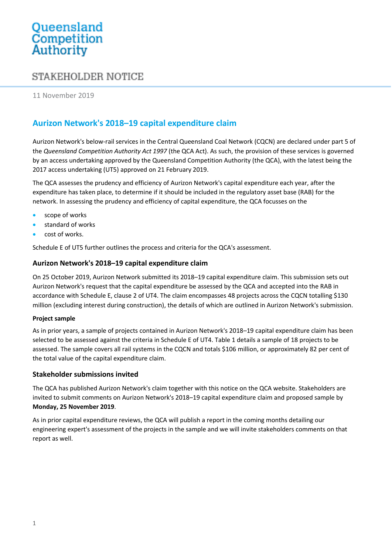# Queensland<br>Competition Authority

## STAKEHOLDER NOTICE

11 November 2019

### **Aurizon Network's 2018–19 capital expenditure claim**

Aurizon Network's below-rail services in the Central Queensland Coal Network (CQCN) are declared under part 5 of the *Queensland Competition Authority Act 1997* (the QCA Act). As such, the provision of these services is governed by an access undertaking approved by the Queensland Competition Authority (the QCA), with the latest being the 2017 access undertaking (UT5) approved on 21 February 2019.

The QCA assesses the prudency and efficiency of Aurizon Network's capital expenditure each year, after the expenditure has taken place, to determine if it should be included in the regulatory asset base (RAB) for the network. In assessing the prudency and efficiency of capital expenditure, the QCA focusses on the

- scope of works
- standard of works
- cost of works.

Schedule E of UT5 further outlines the process and criteria for the QCA's assessment.

#### **Aurizon Network's 2018–19 capital expenditure claim**

On 25 October 2019, Aurizon Network submitted its 2018–19 capital expenditure claim. This submission sets out Aurizon Network's request that the capital expenditure be assessed by the QCA and accepted into the RAB in accordance with Schedule E, clause 2 of UT4. The claim encompasses 48 projects across the CQCN totalling \$130 million (excluding interest during construction), the details of which are outlined in Aurizon Network's submission.

#### **Project sample**

As in prior years, a sample of projects contained in Aurizon Network's 2018–19 capital expenditure claim has been selected to be assessed against the criteria in Schedule E of UT4[. Table 1](#page-1-0) details a sample of 18 projects to be assessed. The sample covers all rail systems in the CQCN and totals \$106 million, or approximately 82 per cent of the total value of the capital expenditure claim.

#### **Stakeholder submissions invited**

The QCA has published Aurizon Network's claim together with this notice on the QCA website. Stakeholders are invited to submit comments on Aurizon Network's 2018–19 capital expenditure claim and proposed sample by **Monday, 25 November 2019**.

As in prior capital expenditure reviews, the QCA will publish a report in the coming months detailing our engineering expert's assessment of the projects in the sample and we will invite stakeholders comments on that report as well.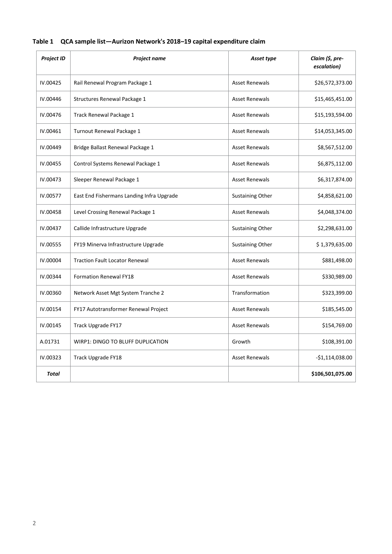| <b>Project ID</b> | Project name                              | Asset type              | Claim (\$, pre-<br>escalation) |
|-------------------|-------------------------------------------|-------------------------|--------------------------------|
| IV.00425          | Rail Renewal Program Package 1            | <b>Asset Renewals</b>   | \$26,572,373.00                |
| IV.00446          | Structures Renewal Package 1              | <b>Asset Renewals</b>   | \$15,465,451.00                |
| IV.00476          | Track Renewal Package 1                   | <b>Asset Renewals</b>   | \$15,193,594.00                |
| IV.00461          | Turnout Renewal Package 1                 | <b>Asset Renewals</b>   | \$14,053,345.00                |
| IV.00449          | Bridge Ballast Renewal Package 1          | <b>Asset Renewals</b>   | \$8,567,512.00                 |
| IV.00455          | Control Systems Renewal Package 1         | <b>Asset Renewals</b>   | \$6,875,112.00                 |
| IV.00473          | Sleeper Renewal Package 1                 | <b>Asset Renewals</b>   | \$6,317,874.00                 |
| IV.00577          | East End Fishermans Landing Infra Upgrade | <b>Sustaining Other</b> | \$4,858,621.00                 |
| IV.00458          | Level Crossing Renewal Package 1          | <b>Asset Renewals</b>   | \$4,048,374.00                 |
| IV.00437          | Callide Infrastructure Upgrade            | <b>Sustaining Other</b> | \$2,298,631.00                 |
| IV.00555          | FY19 Minerva Infrastructure Upgrade       | <b>Sustaining Other</b> | \$1,379,635.00                 |
| IV.00004          | <b>Traction Fault Locator Renewal</b>     | <b>Asset Renewals</b>   | \$881,498.00                   |
| IV.00344          | <b>Formation Renewal FY18</b>             | <b>Asset Renewals</b>   | \$330,989.00                   |
| IV.00360          | Network Asset Mgt System Tranche 2        | Transformation          | \$323,399.00                   |
| IV.00154          | FY17 Autotransformer Renewal Project      | <b>Asset Renewals</b>   | \$185,545.00                   |
| IV.00145          | Track Upgrade FY17                        | <b>Asset Renewals</b>   | \$154,769.00                   |
| A.01731           | WIRP1: DINGO TO BLUFF DUPLICATION         | Growth                  | \$108,391.00                   |
| IV.00323          | Track Upgrade FY18                        | <b>Asset Renewals</b>   | $-$1,114,038.00$               |
| <b>Total</b>      |                                           |                         | \$106,501,075.00               |

#### <span id="page-1-0"></span>**Table 1 QCA sample list—Aurizon Network's 2018–19 capital expenditure claim**